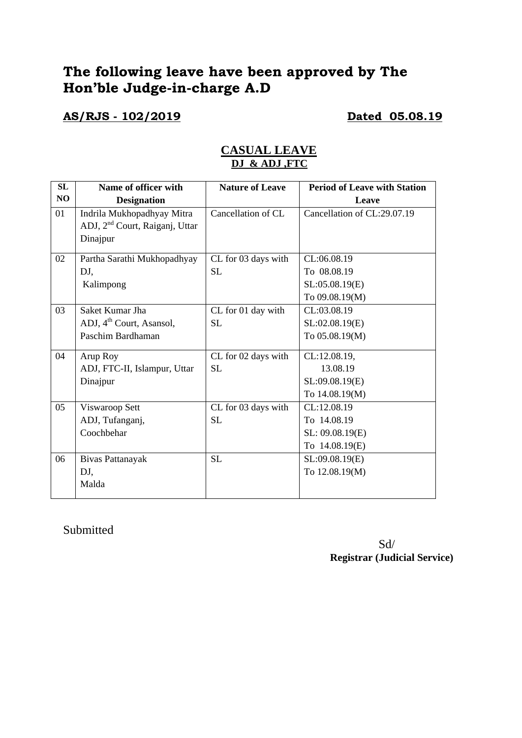# **The following leave have been approved by The Hon'ble Judge-in-charge A.D**

## **AS/RJS - 102/2019 Dated 05.08.19**

| SL | Name of officer with                       | <b>Nature of Leave</b> | <b>Period of Leave with Station</b> |
|----|--------------------------------------------|------------------------|-------------------------------------|
| NO | <b>Designation</b>                         |                        | Leave                               |
| 01 | Indrila Mukhopadhyay Mitra                 | Cancellation of CL     | Cancellation of CL:29.07.19         |
|    | ADJ, 2 <sup>nd</sup> Court, Raiganj, Uttar |                        |                                     |
|    | Dinajpur                                   |                        |                                     |
| 02 | Partha Sarathi Mukhopadhyay                | CL for 03 days with    | CL:06.08.19                         |
|    | DJ,                                        | <b>SL</b>              | To 08.08.19                         |
|    | Kalimpong                                  |                        | SL:05.08.19(E)                      |
|    |                                            |                        | To 09.08.19(M)                      |
| 03 | Saket Kumar Jha                            | CL for 01 day with     | CL:03.08.19                         |
|    | ADJ, 4 <sup>th</sup> Court, Asansol,       | <b>SL</b>              | SL:02.08.19(E)                      |
|    | Paschim Bardhaman                          |                        | To 05.08.19(M)                      |
| 04 | Arup Roy                                   | CL for 02 days with    | CL:12.08.19,                        |
|    | ADJ, FTC-II, Islampur, Uttar               | <b>SL</b>              | 13.08.19                            |
|    | Dinajpur                                   |                        | SL:09.08.19(E)                      |
|    |                                            |                        | To 14.08.19(M)                      |
| 05 | Viswaroop Sett                             | CL for 03 days with    | CL:12.08.19                         |
|    | ADJ, Tufanganj,                            | <b>SL</b>              | To 14.08.19                         |
|    | Coochbehar                                 |                        | SL: 09.08.19(E)                     |
|    |                                            |                        | To 14.08.19(E)                      |
| 06 | Bivas Pattanayak                           | <b>SL</b>              | SL:09.08.19(E)                      |
|    | DJ,                                        |                        | To 12.08.19(M)                      |
|    | Malda                                      |                        |                                     |

### **CASUAL LEAVE DJ & ADJ ,FTC**

### Submitted

 Sd/ **Registrar (Judicial Service)**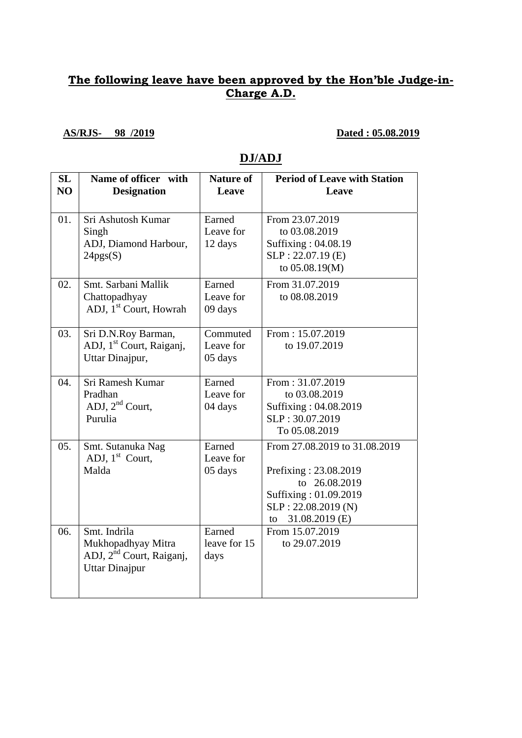### **The following leave have been approved by the Hon'ble Judge-in-Charge A.D.**

**AS/RJS- 98 /2019 Dated : 05.08.2019** 

## **DJ/ADJ**

| SL<br>NO | Name of officer with<br><b>Designation</b>                                                          | <b>Nature of</b><br>Leave        | <b>Period of Leave with Station</b><br>Leave                                                                                                    |
|----------|-----------------------------------------------------------------------------------------------------|----------------------------------|-------------------------------------------------------------------------------------------------------------------------------------------------|
| 01.      | Sri Ashutosh Kumar<br>Singh<br>ADJ, Diamond Harbour,<br>24pgs(S)                                    | Earned<br>Leave for<br>12 days   | From 23.07.2019<br>to 03.08.2019<br>Suffixing: 04.08.19<br>$SLP: 22.07.19$ (E)<br>to 05.08.19(M)                                                |
| 02.      | Smt. Sarbani Mallik<br>Chattopadhyay<br>ADJ, 1 <sup>st</sup> Court, Howrah                          | Earned<br>Leave for<br>09 days   | From 31.07.2019<br>to 08.08.2019                                                                                                                |
| 03.      | Sri D.N.Roy Barman,<br>ADJ, 1 <sup>st</sup> Court, Raiganj,<br>Uttar Dinajpur,                      | Commuted<br>Leave for<br>05 days | From: 15.07.2019<br>to 19.07.2019                                                                                                               |
| 04.      | Sri Ramesh Kumar<br>Pradhan<br>ADJ, $2nd$ Court,<br>Purulia                                         | Earned<br>Leave for<br>04 days   | From: 31.07.2019<br>to 03.08.2019<br>Suffixing: 04.08.2019<br>SLP: 30.07.2019<br>To 05.08.2019                                                  |
| 05.      | Smt. Sutanuka Nag<br>ADJ, $1st$ Court,<br>Malda                                                     | Earned<br>Leave for<br>05 days   | From 27.08.2019 to 31.08.2019<br>Prefixing: 23.08.2019<br>to 26.08.2019<br>Suffixing: 01.09.2019<br>SLP: 22.08.2019 (N)<br>31.08.2019 (E)<br>to |
| 06.      | Smt. Indrila<br>Mukhopadhyay Mitra<br>ADJ, 2 <sup>nd</sup> Court, Raiganj,<br><b>Uttar Dinajpur</b> | Earned<br>leave for 15<br>days   | From 15.07.2019<br>to 29.07.2019                                                                                                                |